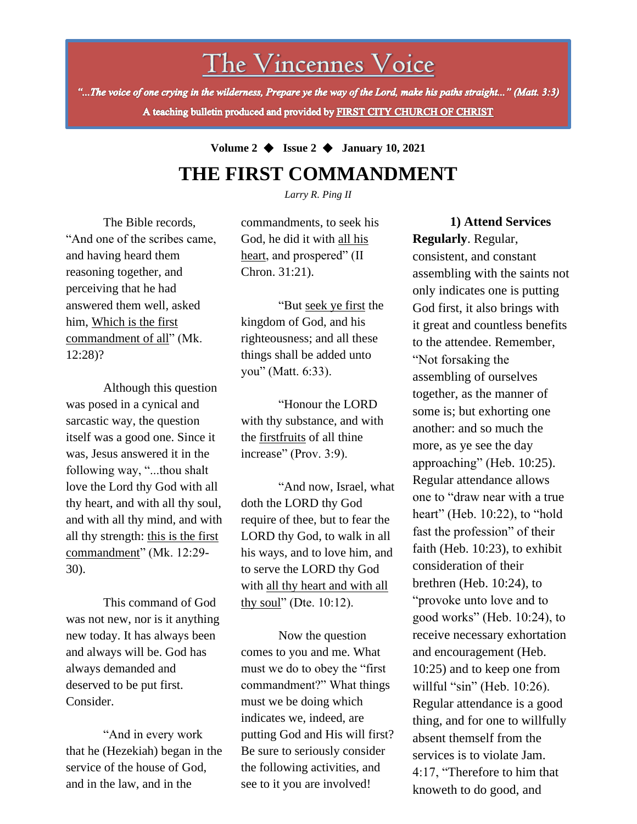# The Vincennes Voice

"...The voice of one crying in the wilderness, Prepare ye the way of the Lord, make his paths straight..." (Matt. 3:3) A teaching bulletin produced and provided by FIRST CITY CHURCH OF CHRIST

### **Volume 2** ◆ **Issue 2** ◆ **January 10, 2021 THE FIRST COMMANDMENT**

*Larry R. Ping II*

The Bible records, "And one of the scribes came, and having heard them reasoning together, and perceiving that he had answered them well, asked him, Which is the first commandment of all" (Mk. 12:28)?

Although this question was posed in a cynical and sarcastic way, the question itself was a good one. Since it was, Jesus answered it in the following way, "...thou shalt love the Lord thy God with all thy heart, and with all thy soul, and with all thy mind, and with all thy strength: this is the first commandment" (Mk. 12:29-30).

This command of God was not new, nor is it anything new today. It has always been and always will be. God has always demanded and deserved to be put first. Consider.

"And in every work that he (Hezekiah) began in the service of the house of God, and in the law, and in the

commandments, to seek his God, he did it with all his heart, and prospered" (II Chron. 31:21).

"But seek ye first the kingdom of God, and his righteousness; and all these things shall be added unto you" (Matt. 6:33).

"Honour the LORD with thy substance, and with the firstfruits of all thine increase" (Prov. 3:9).

"And now, Israel, what doth the LORD thy God require of thee, but to fear the LORD thy God, to walk in all his ways, and to love him, and to serve the LORD thy God with all thy heart and with all thy soul" (Dte. 10:12).

Now the question comes to you and me. What must we do to obey the "first commandment?" What things must we be doing which indicates we, indeed, are putting God and His will first? Be sure to seriously consider the following activities, and see to it you are involved!

**1) Attend Services Regularly**. Regular, consistent, and constant assembling with the saints not only indicates one is putting God first, it also brings with it great and countless benefits to the attendee. Remember, "Not forsaking the assembling of ourselves together, as the manner of some is; but exhorting one another: and so much the more, as ye see the day approaching" (Heb. 10:25). Regular attendance allows one to "draw near with a true heart" (Heb. 10:22), to "hold fast the profession" of their faith (Heb. 10:23), to exhibit consideration of their brethren (Heb. 10:24), to "provoke unto love and to good works" (Heb. 10:24), to receive necessary exhortation and encouragement (Heb. 10:25) and to keep one from willful "sin" (Heb. 10:26). Regular attendance is a good thing, and for one to willfully absent themself from the services is to violate Jam. 4:17, "Therefore to him that

knoweth to do good, and